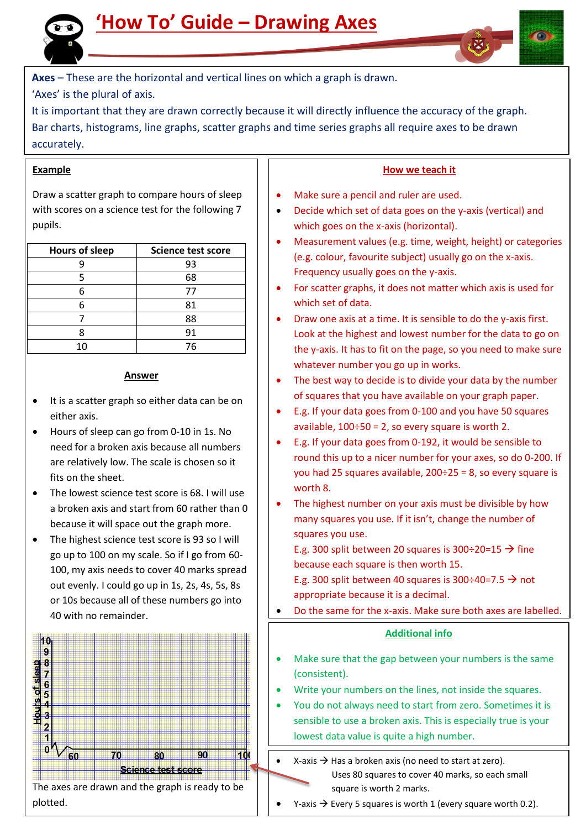



**Axes** – These are the horizontal and vertical lines on which a graph is drawn.

'Axes' is the plural of axis.

It is important that they are drawn correctly because it will directly influence the accuracy of the graph. Bar charts, histograms, line graphs, scatter graphs and time series graphs all require axes to be drawn accurately.

## **Example**

Draw a scatter graph to compare hours of sleep with scores on a science test for the following 7 pupils.

| <b>Hours of sleep</b> | <b>Science test score</b> |
|-----------------------|---------------------------|
|                       | 93                        |
|                       | 68                        |
|                       | 77                        |
|                       | 81                        |
|                       | 88                        |
|                       | 91                        |
| 10                    | 76                        |

### **Answer**

- It is a scatter graph so either data can be on either axis.
- Hours of sleep can go from 0-10 in 1s. No need for a broken axis because all numbers are relatively low. The scale is chosen so it fits on the sheet.
- The lowest science test score is 68. I will use a broken axis and start from 60 rather than 0 because it will space out the graph more.
- The highest science test score is 93 so I will go up to 100 on my scale. So if I go from 60- 100, my axis needs to cover 40 marks spread out evenly. I could go up in 1s, 2s, 4s, 5s, 8s or 10s because all of these numbers go into 40 with no remainder.



The axes are drawn and the graph is ready to be plotted.

## **How we teach it**

- Make sure a pencil and ruler are used.
- Decide which set of data goes on the y-axis (vertical) and which goes on the x-axis (horizontal).
- Measurement values (e.g. time, weight, height) or categories (e.g. colour, favourite subject) usually go on the x-axis. Frequency usually goes on the y-axis.
- For scatter graphs, it does not matter which axis is used for which set of data.
- Draw one axis at a time. It is sensible to do the y-axis first. Look at the highest and lowest number for the data to go on the y-axis. It has to fit on the page, so you need to make sure whatever number you go up in works.
- The best way to decide is to divide your data by the number of squares that you have available on your graph paper.
- E.g. If your data goes from 0-100 and you have 50 squares available,  $100 \div 50 = 2$ , so every square is worth 2.
- E.g. If your data goes from 0-192, it would be sensible to round this up to a nicer number for your axes, so do 0-200. If you had 25 squares available, 200÷25 = 8, so every square is worth 8.
- The highest number on your axis must be divisible by how many squares you use. If it isn't, change the number of squares you use.

E.g. 300 split between 20 squares is 300÷20=15  $\rightarrow$  fine because each square is then worth 15.

E.g. 300 split between 40 squares is 300÷40=7.5  $\rightarrow$  not appropriate because it is a decimal.

Do the same for the x-axis. Make sure both axes are labelled.

## **Additional info**

- Make sure that the gap between your numbers is the same (consistent).
- Write your numbers on the lines, not inside the squares.
- You do not always need to start from zero. Sometimes it is sensible to use a broken axis. This is especially true is your lowest data value is quite a high number.
	- X-axis  $\rightarrow$  Has a broken axis (no need to start at zero). Uses 80 squares to cover 40 marks, so each small square is worth 2 marks.
- Y-axis  $\rightarrow$  Every 5 squares is worth 1 (every square worth 0.2).